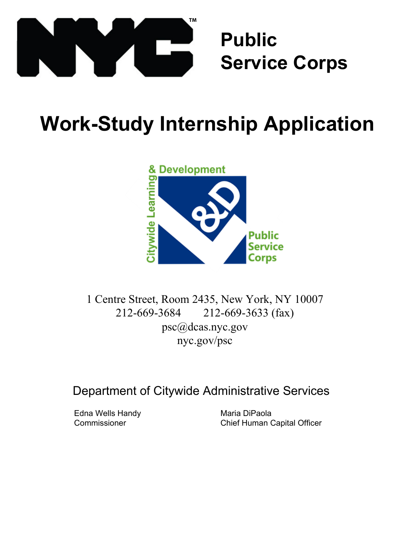

# **Public Service Corps**

# **Work-Study Internship Application**



1 Centre Street, Room 2435, New York, NY 10007 212-669-3684 212-669-3633 (fax) psc@dcas.nyc.gov nyc.gov/psc

Department of Citywide Administrative Services

Edna Wells Handy **Commissioner** 

Maria DiPaola Chief Human Capital Officer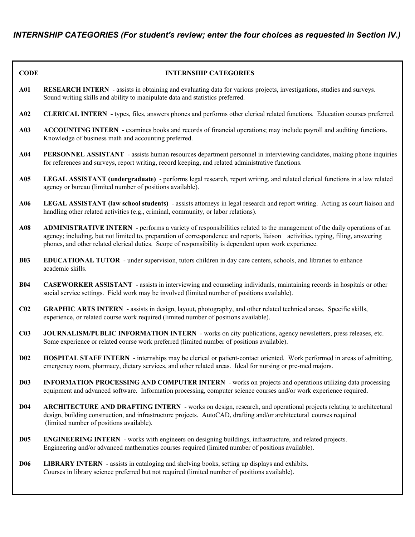| <b>CODE</b>     | <b>INTERNSHIP CATEGORIES</b>                                                                                                                                                                                                                                                                                                                                              |
|-----------------|---------------------------------------------------------------------------------------------------------------------------------------------------------------------------------------------------------------------------------------------------------------------------------------------------------------------------------------------------------------------------|
| A01             | <b>RESEARCH INTERN</b> - assists in obtaining and evaluating data for various projects, investigations, studies and surveys.<br>Sound writing skills and ability to manipulate data and statistics preferred.                                                                                                                                                             |
| A02             | <b>CLERICAL INTERN</b> - types, files, answers phones and performs other clerical related functions. Education courses preferred.                                                                                                                                                                                                                                         |
| A03             | ACCOUNTING INTERN - examines books and records of financial operations; may include payroll and auditing functions.<br>Knowledge of business math and accounting preferred.                                                                                                                                                                                               |
| A04             | <b>PERSONNEL ASSISTANT</b> - assists human resources department personnel in interviewing candidates, making phone inquiries<br>for references and surveys, report writing, record keeping, and related administrative functions.                                                                                                                                         |
| A05             | LEGAL ASSISTANT (undergraduate) - performs legal research, report writing, and related clerical functions in a law related<br>agency or bureau (limited number of positions available).                                                                                                                                                                                   |
| A06             | LEGAL ASSISTANT (law school students) - assists attorneys in legal research and report writing. Acting as court liaison and<br>handling other related activities (e.g., criminal, community, or labor relations).                                                                                                                                                         |
| A08             | <b>ADMINISTRATIVE INTERN</b> - performs a variety of responsibilities related to the management of the daily operations of an<br>agency; including, but not limited to, preparation of correspondence and reports, liaison activities, typing, filing, answering<br>phones, and other related clerical duties. Scope of responsibility is dependent upon work experience. |
| <b>B03</b>      | <b>EDUCATIONAL TUTOR</b> - under supervision, tutors children in day care centers, schools, and libraries to enhance<br>academic skills.                                                                                                                                                                                                                                  |
| <b>B04</b>      | <b>CASEWORKER ASSISTANT</b> - assists in interviewing and counseling individuals, maintaining records in hospitals or other<br>social service settings. Field work may be involved (limited number of positions available).                                                                                                                                               |
| C <sub>02</sub> | <b>GRAPHIC ARTS INTERN</b> - assists in design, layout, photography, and other related technical areas. Specific skills,<br>experience, or related course work required (limited number of positions available).                                                                                                                                                          |
| C <sub>03</sub> | JOURNALISM/PUBLIC INFORMATION INTERN - works on city publications, agency newsletters, press releases, etc.<br>Some experience or related course work preferred (limited number of positions available).                                                                                                                                                                  |
| D <sub>02</sub> | <b>HOSPITAL STAFF INTERN</b> - internships may be clerical or patient-contact oriented. Work performed in areas of admitting,<br>emergency room, pharmacy, dietary services, and other related areas. Ideal for nursing or pre-med majors.                                                                                                                                |
| <b>D03</b>      | <b>INFORMATION PROCESSING AND COMPUTER INTERN</b> - works on projects and operations utilizing data processing<br>equipment and advanced software. Information processing, computer science courses and/or work experience required.                                                                                                                                      |
| <b>D04</b>      | <b>ARCHITECTURE AND DRAFTING INTERN</b> - works on design, research, and operational projects relating to architectural<br>design, building construction, and infrastructure projects. AutoCAD, drafting and/or architectural courses required<br>(limited number of positions available).                                                                                |
| <b>D05</b>      | <b>ENGINEERING INTERN</b> - works with engineers on designing buildings, infrastructure, and related projects.<br>Engineering and/or advanced mathematics courses required (limited number of positions available).                                                                                                                                                       |
| <b>D06</b>      | LIBRARY INTERN - assists in cataloging and shelving books, setting up displays and exhibits.<br>Courses in library science preferred but not required (limited number of positions available).                                                                                                                                                                            |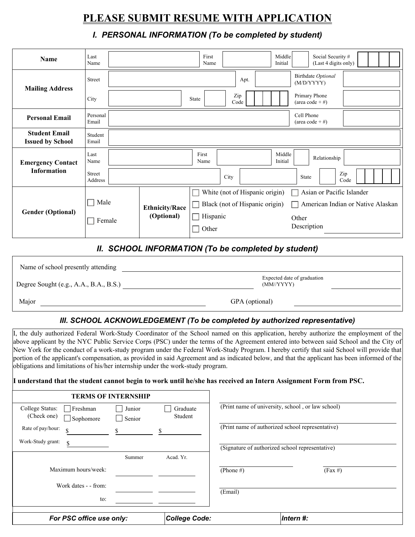# **PLEASE SUBMIT RESUME WITH APPLICATION**

## *I. PERSONAL INFORMATION (To be completed by student)*

| <b>Name</b>                                     | Last<br>Name         |                                  | First<br>Name                  |                                  | Middle<br>Initial | Social Security #<br>(Last 4 digits only) |                                   |
|-------------------------------------------------|----------------------|----------------------------------|--------------------------------|----------------------------------|-------------------|-------------------------------------------|-----------------------------------|
| <b>Mailing Address</b>                          | Street               |                                  |                                | Apt.                             |                   | Birthdate Optional<br>(M/D/YYYY)          |                                   |
|                                                 | City                 |                                  | State                          | Zip<br>Code                      |                   | Primary Phone<br>(area code $+ \#$ )      |                                   |
| <b>Personal Email</b>                           | Personal<br>Email    |                                  |                                |                                  |                   | Cell Phone<br>(area code $+ \#$ )         |                                   |
| <b>Student Email</b><br><b>Issued by School</b> | Student<br>Email     |                                  |                                |                                  |                   |                                           |                                   |
| <b>Emergency Contact</b>                        | Last<br>Name         |                                  | First<br>Name                  |                                  | Middle<br>Initial | Relationship                              |                                   |
| <b>Information</b>                              | Street<br>Address    |                                  |                                | City                             | State             | Zip<br>Code                               |                                   |
|                                                 |                      |                                  |                                | White (not of Hispanic origin)   |                   | Asian or Pacific Islander                 |                                   |
|                                                 | Male<br>Female       | <b>Ethnicity/Race</b>            | Black (not of Hispanic origin) |                                  |                   |                                           | American Indian or Native Alaskan |
| <b>Gender (Optional)</b>                        |                      | (Optional)                       | Hispanic                       |                                  | Other             |                                           |                                   |
|                                                 |                      |                                  |                                | Other                            |                   | Description                               |                                   |
|                                                 | <br>$\sum_{n=1}^{n}$ | 111F <sub>0</sub> F <sub>1</sub> |                                | TION /To be completed by student |                   |                                           |                                   |

## *II. SCHOOL INFORMATION (To be completed by student)*

| Name of school presently attending     |                                           |  |
|----------------------------------------|-------------------------------------------|--|
| Degree Sought (e.g., A.A., B.A., B.S.) | Expected date of graduation<br>(MM/YYYYY) |  |
| Major                                  | GPA (optional)                            |  |

### *III. SCHOOL ACKNOWLEDGEMENT (To be completed by authorized representative)*

I, the duly authorized Federal Work-Study Coordinator of the School named on this application, hereby authorize the employment of the above applicant by the NYC Public Service Corps (PSC) under the terms of the Agreement entered into between said School and the City of New York for the conduct of a work-study program under the Federal Work-Study Program. I hereby certify that said School will provide that portion of the applicant's compensation, as provided in said Agreement and as indicated below, and that the applicant has been informed of the obligations and limitations of his/her internship under the work-study program.

#### **I understand that the student cannot begin to work until he/she has received an Intern Assignment Form from PSC.**

| <b>TERMS OF INTERNSHIP</b>                                       |                  |                     |                                                 |                                                   |
|------------------------------------------------------------------|------------------|---------------------|-------------------------------------------------|---------------------------------------------------|
| College Status:<br>  Freshman<br>(Check one)<br>$\Box$ Sophomore | Junior<br>Senior | Graduate<br>Student |                                                 | (Print name of university, school, or law school) |
| Rate of pay/hour:<br>\$<br>Work-Study grant:<br>\$               |                  |                     |                                                 | (Print name of authorized school representative)  |
|                                                                  |                  |                     | (Signature of authorized school representative) |                                                   |
|                                                                  | Summer           | Acad. Yr.           |                                                 |                                                   |
| Maximum hours/week:                                              |                  |                     | (Phone $#$ )                                    | $(Fax \#)$                                        |
| Work dates - - from:                                             |                  |                     | (Email)                                         |                                                   |
| to:                                                              |                  |                     |                                                 |                                                   |
| For PSC office use only:                                         |                  | College Code:       |                                                 | Intern #:                                         |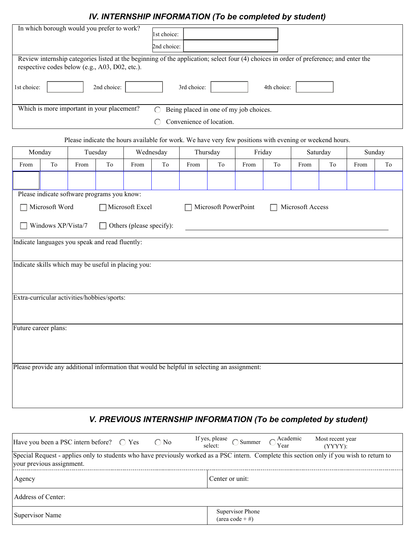# *IV. INTERNSHIP INFORMATION (To be completed by student)*

|                                            |                                                 |                      |             | IV. INTERNSHIP INFORMATION (TO DE COMPIETED DY STUDENT)                                                                                |                            |                                        |                      |                          |             |                  |    |      |        |
|--------------------------------------------|-------------------------------------------------|----------------------|-------------|----------------------------------------------------------------------------------------------------------------------------------------|----------------------------|----------------------------------------|----------------------|--------------------------|-------------|------------------|----|------|--------|
| In which borough would you prefer to work? |                                                 |                      |             |                                                                                                                                        | 1st choice:<br>2nd choice: |                                        |                      |                          |             |                  |    |      |        |
|                                            |                                                 |                      |             | Review internship categories listed at the beginning of the application; select four (4) choices in order of preference; and enter the |                            |                                        |                      |                          |             |                  |    |      |        |
|                                            | respective codes below (e.g., A03, D02, etc.).  |                      |             |                                                                                                                                        |                            |                                        |                      |                          |             |                  |    |      |        |
|                                            |                                                 |                      |             |                                                                                                                                        |                            |                                        |                      |                          |             |                  |    |      |        |
| 1st choice:                                |                                                 | $\blacktriangledown$ | 2nd choice: |                                                                                                                                        | $\mathbf{r}$               | 3rd choice:                            |                      | $\vert \mathbf{v} \vert$ | 4th choice: |                  |    |      |        |
|                                            | Which is more important in your placement?      |                      |             |                                                                                                                                        | ◯                          | Being placed in one of my job choices. |                      |                          |             |                  |    |      |        |
|                                            |                                                 |                      |             |                                                                                                                                        |                            | Convenience of location.               |                      |                          |             |                  |    |      |        |
|                                            |                                                 |                      |             |                                                                                                                                        |                            |                                        |                      |                          |             |                  |    |      |        |
|                                            |                                                 |                      |             | Please indicate the hours available for work. We have very few positions with evening or weekend hours.                                |                            |                                        |                      |                          |             |                  |    |      |        |
|                                            | Monday                                          |                      | Tuesday     | Wednesday                                                                                                                              |                            |                                        | Thursday             |                          | Friday      | Saturday         |    |      | Sunday |
| From                                       | To                                              | From                 | To          | From                                                                                                                                   | To                         | From                                   | To                   | From                     | To          | From             | To | From | To     |
|                                            |                                                 |                      |             |                                                                                                                                        |                            |                                        |                      |                          |             |                  |    |      |        |
|                                            | Please indicate software programs you know:     |                      |             |                                                                                                                                        |                            |                                        |                      |                          |             |                  |    |      |        |
|                                            |                                                 |                      |             |                                                                                                                                        |                            |                                        |                      |                          |             |                  |    |      |        |
|                                            | Microsoft Word                                  |                      |             | Microsoft Excel                                                                                                                        |                            |                                        | Microsoft PowerPoint |                          |             | Microsoft Access |    |      |        |
|                                            | Windows XP/Vista/7                              |                      |             | Others (please specify):                                                                                                               |                            |                                        |                      |                          |             |                  |    |      |        |
|                                            | Indicate languages you speak and read fluently: |                      |             |                                                                                                                                        |                            |                                        |                      |                          |             |                  |    |      |        |
|                                            |                                                 |                      |             |                                                                                                                                        |                            |                                        |                      |                          |             |                  |    |      |        |
|                                            |                                                 |                      |             | Indicate skills which may be useful in placing you:                                                                                    |                            |                                        |                      |                          |             |                  |    |      |        |
|                                            |                                                 |                      |             |                                                                                                                                        |                            |                                        |                      |                          |             |                  |    |      |        |
|                                            |                                                 |                      |             |                                                                                                                                        |                            |                                        |                      |                          |             |                  |    |      |        |
|                                            | Extra-curricular activities/hobbies/sports:     |                      |             |                                                                                                                                        |                            |                                        |                      |                          |             |                  |    |      |        |
|                                            |                                                 |                      |             |                                                                                                                                        |                            |                                        |                      |                          |             |                  |    |      |        |
|                                            |                                                 |                      |             |                                                                                                                                        |                            |                                        |                      |                          |             |                  |    |      |        |
|                                            | Future career plans:                            |                      |             |                                                                                                                                        |                            |                                        |                      |                          |             |                  |    |      |        |
|                                            |                                                 |                      |             |                                                                                                                                        |                            |                                        |                      |                          |             |                  |    |      |        |
|                                            |                                                 |                      |             |                                                                                                                                        |                            |                                        |                      |                          |             |                  |    |      |        |
|                                            |                                                 |                      |             | Please provide any additional information that would be helpful in selecting an assignment:                                            |                            |                                        |                      |                          |             |                  |    |      |        |
|                                            |                                                 |                      |             |                                                                                                                                        |                            |                                        |                      |                          |             |                  |    |      |        |
|                                            |                                                 |                      |             |                                                                                                                                        |                            |                                        |                      |                          |             |                  |    |      |        |
|                                            |                                                 |                      |             |                                                                                                                                        |                            |                                        |                      |                          |             |                  |    |      |        |

# *V. PREVIOUS INTERNSHIP INFORMATION (To be completed by student)*

| Have you been a PSC intern before? $\bigcirc$ Yes $\bigcirc$ No                                                                                                         | If yes, please $\bigcirc$ Summer $\bigcirc$ Academic<br>select:<br>Most recent year<br>(YYYY): |  |  |  |  |  |  |
|-------------------------------------------------------------------------------------------------------------------------------------------------------------------------|------------------------------------------------------------------------------------------------|--|--|--|--|--|--|
| Special Request - applies only to students who have previously worked as a PSC intern. Complete this section only if you wish to return to<br>vour previous assignment. |                                                                                                |  |  |  |  |  |  |
| Agency                                                                                                                                                                  | Center or unit:                                                                                |  |  |  |  |  |  |
| Address of Center:                                                                                                                                                      |                                                                                                |  |  |  |  |  |  |
| Supervisor Name                                                                                                                                                         | Supervisor Phone<br>(area code + #)                                                            |  |  |  |  |  |  |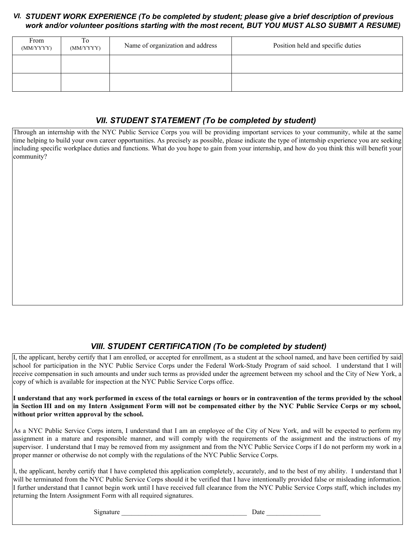## *STUDENT WORK EXPERIENCE (To be completed by student; please give a brief description of previous VI. work and/or volunteer positions starting with the most recent, BUT YOU MUST ALSO SUBMIT A RESUME)*

| From<br>(MM/YYYY) | To<br>(MM/YYYY) | Name of organization and address | Position held and specific duties |
|-------------------|-----------------|----------------------------------|-----------------------------------|
|                   |                 |                                  |                                   |
|                   |                 |                                  |                                   |

# *VII. STUDENT STATEMENT (To be completed by student)*

Through an internship with the NYC Public Service Corps you will be providing important services to your community, while at the same time helping to build your own career opportunities. As precisely as possible, please indicate the type of internship experience you are seeking including specific workplace duties and functions. What do you hope to gain from your internship, and how do you think this will benefit your community?

# *VIII. STUDENT CERTIFICATION (To be completed by student)*

I, the applicant, hereby certify that I am enrolled, or accepted for enrollment, as a student at the school named, and have been certified by said school for participation in the NYC Public Service Corps under the Federal Work-Study Program of said school. I understand that I will receive compensation in such amounts and under such terms as provided under the agreement between my school and the City of New York, a copy of which is available for inspection at the NYC Public Service Corps office.

#### **I understand that any work performed in excess of the total earnings or hours or in contravention of the terms provided by the school in Section III and on my Intern Assignment Form will not be compensated either by the NYC Public Service Corps or my school, without prior written approval by the school.**

As a NYC Public Service Corps intern, I understand that I am an employee of the City of New York, and will be expected to perform my assignment in a mature and responsible manner, and will comply with the requirements of the assignment and the instructions of my supervisor. I understand that I may be removed from my assignment and from the NYC Public Service Corps if I do not perform my work in a proper manner or otherwise do not comply with the regulations of the NYC Public Service Corps.

I, the applicant, hereby certify that I have completed this application completely, accurately, and to the best of my ability. I understand that I will be terminated from the NYC Public Service Corps should it be verified that I have intentionally provided false or misleading information. I further understand that I cannot begin work until I have received full clearance from the NYC Public Service Corps staff, which includes my returning the Intern Assignment Form with all required signatures.

Signature Date  $\Box$